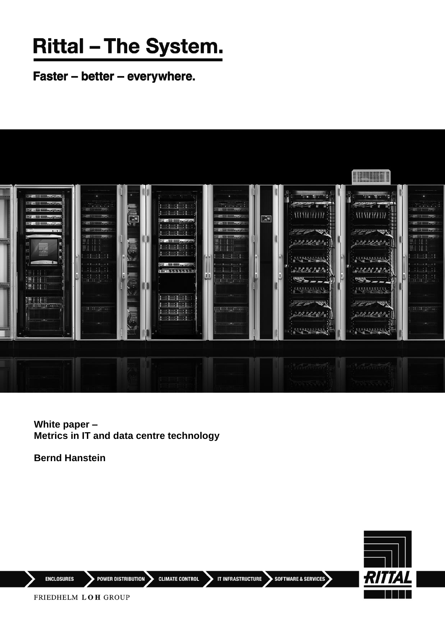## **Rittal - The System.**

Faster - better - everywhere.



**White paper – Metrics in IT and data centre technology**

**Bernd Hanstein** 



**ENCLOSURES** 

POWER DISTRIBUTION CLIMATE CONTROL

IT INFRASTRUCTURE SOFTWARE & SERVICES

FRIEDHELM LOH GROUP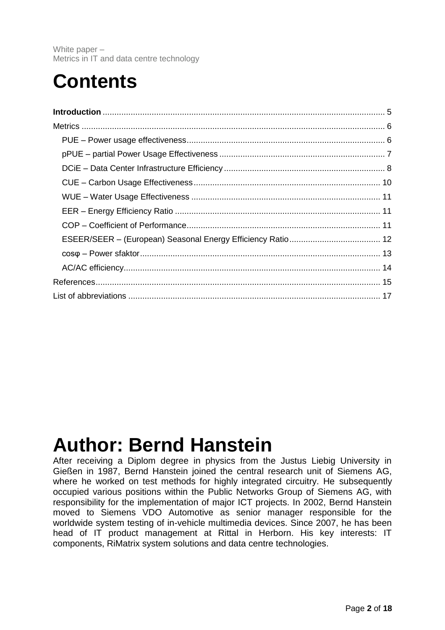### **Contents**

### **Author: Bernd Hanstein**

After receiving a Diplom degree in physics from the Justus Liebig University in Gießen in 1987, Bernd Hanstein joined the central research unit of Siemens AG, where he worked on test methods for highly integrated circuitry. He subsequently occupied various positions within the Public Networks Group of Siemens AG, with responsibility for the implementation of major ICT projects. In 2002, Bernd Hanstein moved to Siemens VDO Automotive as senior manager responsible for the worldwide system testing of in-vehicle multimedia devices. Since 2007, he has been head of IT product management at Rittal in Herborn. His key interests: IT components, RiMatrix system solutions and data centre technologies.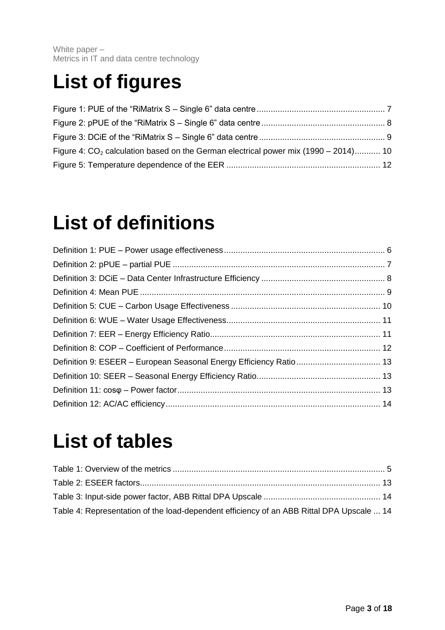### **List of figures**

| Figure 4: $CO2$ calculation based on the German electrical power mix (1990 – 2014) 10 |  |
|---------------------------------------------------------------------------------------|--|
|                                                                                       |  |

### **List of definitions**

### **List of tables**

| Table 4: Representation of the load-dependent efficiency of an ABB Rittal DPA Upscale  14 |  |
|-------------------------------------------------------------------------------------------|--|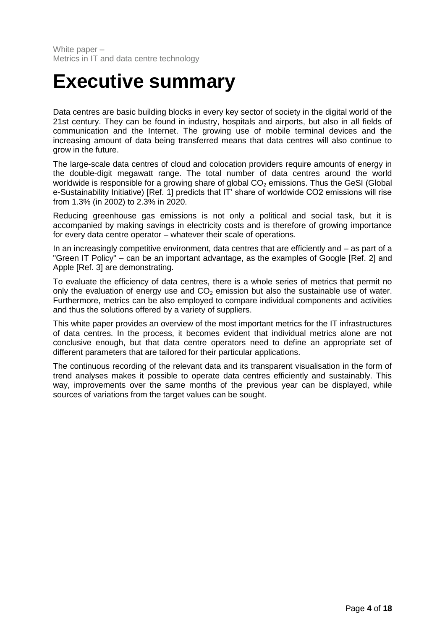### **Executive summary**

Data centres are basic building blocks in every key sector of society in the digital world of the 21st century. They can be found in industry, hospitals and airports, but also in all fields of communication and the Internet. The growing use of mobile terminal devices and the increasing amount of data being transferred means that data centres will also continue to grow in the future.

The large-scale data centres of cloud and colocation providers require amounts of energy in the double-digit megawatt range. The total number of data centres around the world worldwide is responsible for a growing share of global  $CO<sub>2</sub>$  emissions. Thus the GeSI (Global e-Sustainability Initiative) [\[Ref.](#page-14-1) 1] predicts that IT' share of worldwide CO2 emissions will rise from 1.3% (in 2002) to 2.3% in 2020.

Reducing greenhouse gas emissions is not only a political and social task, but it is accompanied by making savings in electricity costs and is therefore of growing importance for every data centre operator – whatever their scale of operations.

In an increasingly competitive environment, data centres that are efficiently and – as part of a "Green IT Policy" – can be an important advantage, as the examples of Google [\[Ref.](#page-14-2) 2] and Apple [\[Ref.](#page-14-3) 3] are demonstrating.

To evaluate the efficiency of data centres, there is a whole series of metrics that permit no only the evaluation of energy use and  $CO<sub>2</sub>$  emission but also the sustainable use of water. Furthermore, metrics can be also employed to compare individual components and activities and thus the solutions offered by a variety of suppliers.

This white paper provides an overview of the most important metrics for the IT infrastructures of data centres. In the process, it becomes evident that individual metrics alone are not conclusive enough, but that data centre operators need to define an appropriate set of different parameters that are tailored for their particular applications.

The continuous recording of the relevant data and its transparent visualisation in the form of trend analyses makes it possible to operate data centres efficiently and sustainably. This way, improvements over the same months of the previous year can be displayed, while sources of variations from the target values can be sought.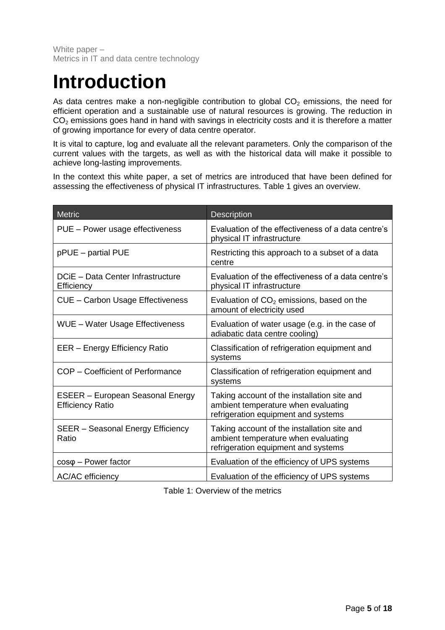### <span id="page-4-0"></span>**Introduction**

As data centres make a non-negligible contribution to global  $CO<sub>2</sub>$  emissions, the need for efficient operation and a sustainable use of natural resources is growing. The reduction in  $CO<sub>2</sub>$  emissions goes hand in hand with savings in electricity costs and it is therefore a matter of growing importance for every of data centre operator.

It is vital to capture, log and evaluate all the relevant parameters. Only the comparison of the current values with the targets, as well as with the historical data will make it possible to achieve long-lasting improvements.

In the context this white paper, a set of metrics are introduced that have been defined for assessing the effectiveness of physical IT infrastructures. [Table 1](#page-4-1) gives an overview.

| <b>Metric</b>                                                      | <b>Description</b>                                                                                                        |
|--------------------------------------------------------------------|---------------------------------------------------------------------------------------------------------------------------|
| PUE - Power usage effectiveness                                    | Evaluation of the effectiveness of a data centre's<br>physical IT infrastructure                                          |
| pPUE - partial PUE                                                 | Restricting this approach to a subset of a data<br>centre                                                                 |
| DCiE - Data Center Infrastructure<br>Efficiency                    | Evaluation of the effectiveness of a data centre's<br>physical IT infrastructure                                          |
| <b>CUE - Carbon Usage Effectiveness</b>                            | Evaluation of $CO2$ emissions, based on the<br>amount of electricity used                                                 |
| <b>WUE</b> - Water Usage Effectiveness                             | Evaluation of water usage (e.g. in the case of<br>adiabatic data centre cooling)                                          |
| EER - Energy Efficiency Ratio                                      | Classification of refrigeration equipment and<br>systems                                                                  |
| COP - Coefficient of Performance                                   | Classification of refrigeration equipment and<br>systems                                                                  |
| <b>ESEER - European Seasonal Energy</b><br><b>Efficiency Ratio</b> | Taking account of the installation site and<br>ambient temperature when evaluating<br>refrigeration equipment and systems |
| SEER - Seasonal Energy Efficiency<br>Ratio                         | Taking account of the installation site and<br>ambient temperature when evaluating<br>refrigeration equipment and systems |
| $cos\varphi$ – Power factor                                        | Evaluation of the efficiency of UPS systems                                                                               |
| <b>AC/AC</b> efficiency                                            | Evaluation of the efficiency of UPS systems                                                                               |

<span id="page-4-1"></span>Table 1: Overview of the metrics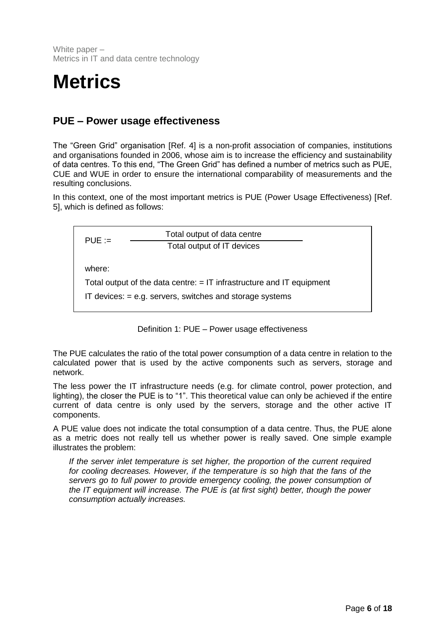### <span id="page-5-0"></span>**Metrics**

#### <span id="page-5-1"></span>**PUE – Power usage effectiveness**

The "Green Grid" organisation [\[Ref.](#page-14-4) 4] is a non-profit association of companies, institutions and organisations founded in 2006, whose aim is to increase the efficiency and sustainability of data centres. To this end, "The Green Grid" has defined a number of metrics such as PUE, CUE and WUE in order to ensure the international comparability of measurements and the resulting conclusions.

In this context, one of the most important metrics is PUE (Power Usage Effectiveness) [\[Ref.](#page-14-5) [5\]](#page-14-5), which is defined as follows:

 $PUE :=$ where: Total output of the data centre:  $=$  IT infrastructure and IT equipment IT devices: = e.g. servers, switches and storage systems Total output of data centre Total output of IT devices

Definition 1: PUE – Power usage effectiveness

<span id="page-5-2"></span>The PUE calculates the ratio of the total power consumption of a data centre in relation to the calculated power that is used by the active components such as servers, storage and network.

The less power the IT infrastructure needs (e.g. for climate control, power protection, and lighting), the closer the PUE is to "1". This theoretical value can only be achieved if the entire current of data centre is only used by the servers, storage and the other active IT components.

A PUE value does not indicate the total consumption of a data centre. Thus, the PUE alone as a metric does not really tell us whether power is really saved. One simple example illustrates the problem:

*If the server inlet temperature is set higher, the proportion of the current required for cooling decreases. However, if the temperature is so high that the fans of the servers go to full power to provide emergency cooling, the power consumption of the IT equipment will increase. The PUE is (at first sight) better, though the power consumption actually increases.*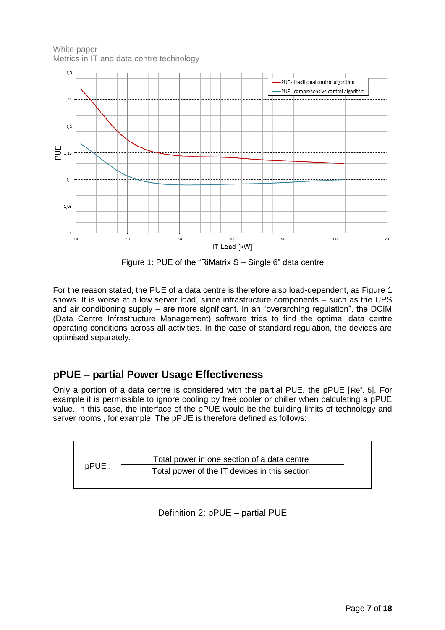White paper – Metrics in IT and data centre technology



Figure 1: PUE of the "RiMatrix S – Single 6" data centre

<span id="page-6-2"></span>For the reason stated, the PUE of a data centre is therefore also load-dependent, as [Figure 1](#page-6-2) shows. It is worse at a low server load, since infrastructure components – such as the UPS and air conditioning supply – are more significant. In an "overarching regulation", the DCIM (Data Centre Infrastructure Management) software tries to find the optimal data centre operating conditions across all activities. In the case of standard regulation, the devices are optimised separately.

#### <span id="page-6-0"></span>**pPUE – partial Power Usage Effectiveness**

Only a portion of a data centre is considered with the partial PUE, the pPUE [[Ref.](#page-14-5) 5]. For example it is permissible to ignore cooling by free cooler or chiller when calculating a pPUE value. In this case, the interface of the pPUE would be the building limits of technology and server rooms , for example. The pPUE is therefore defined as follows:

<span id="page-6-1"></span> $pPUE :=$ Total power in one section of a data centre Total power of the IT devices in this section

Definition 2: pPUE – partial PUE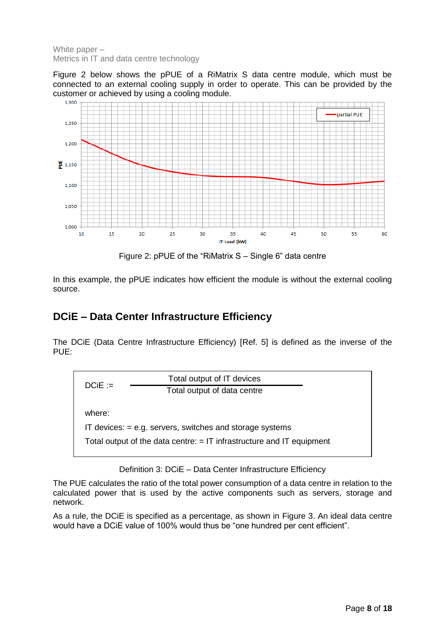[Figure](#page-7-2) 2 below shows the pPUE of a RiMatrix S data centre module, which must be connected to an external cooling supply in order to operate. This can be provided by the customer or achieved by using a cooling module.



Figure 2: pPUE of the "RiMatrix S – Single 6" data centre

<span id="page-7-2"></span>In this example, the pPUE indicates how efficient the module is without the external cooling source.

#### <span id="page-7-0"></span>**DCiE – Data Center Infrastructure Efficiency**

The DCiE (Data Centre Infrastructure Efficiency) [\[Ref.](#page-14-5) 5] is defined as the inverse of the PUE:



Definition 3: DCiE – Data Center Infrastructure Efficiency

<span id="page-7-1"></span>The PUE calculates the ratio of the total power consumption of a data centre in relation to the calculated power that is used by the active components such as servers, storage and network.

As a rule, the DCiE is specified as a percentage, as shown in [Figure 3.](#page-8-1) An ideal data centre would have a DCiE value of 100% would thus be "one hundred per cent efficient".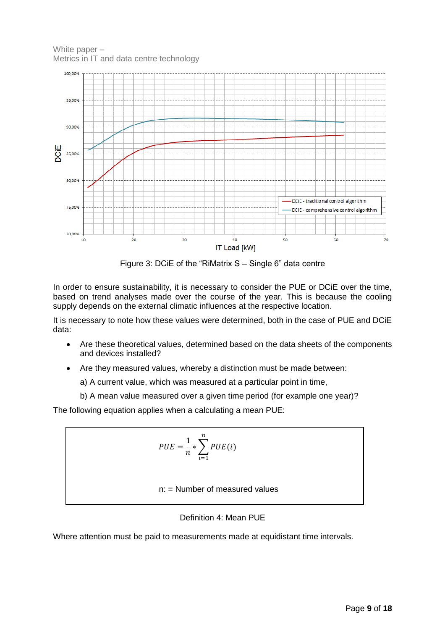White paper – Metrics in IT and data centre technology



Figure 3: DCiE of the "RiMatrix S – Single 6" data centre

<span id="page-8-1"></span>In order to ensure sustainability, it is necessary to consider the PUE or DCiE over the time, based on trend analyses made over the course of the year. This is because the cooling supply depends on the external climatic influences at the respective location.

It is necessary to note how these values were determined, both in the case of PUE and DCiE data:

- Are these theoretical values, determined based on the data sheets of the components and devices installed?
- Are they measured values, whereby a distinction must be made between:

a) A current value, which was measured at a particular point in time,

b) A mean value measured over a given time period (for example one year)?

The following equation applies when a calculating a mean PUE:

$$
PUE = \frac{1}{n} * \sum_{i=1}^{n} PUE(i)
$$
  
n: = Number of measured values

#### Definition 4: Mean PUE

<span id="page-8-0"></span>Where attention must be paid to measurements made at equidistant time intervals.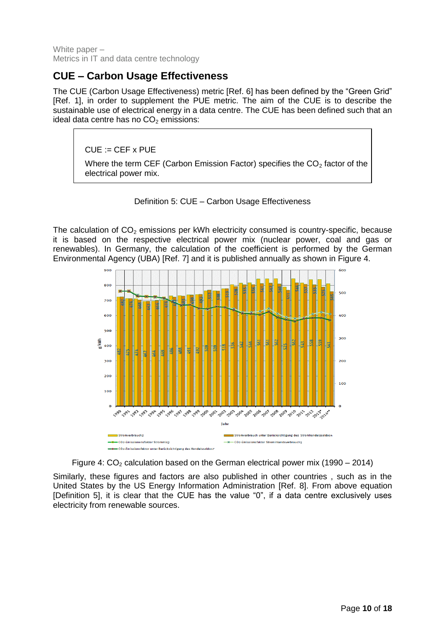#### <span id="page-9-0"></span>**CUE – Carbon Usage Effectiveness**

The CUE (Carbon Usage Effectiveness) metric [\[Ref.](#page-14-6) 6] has been defined by the "Green Grid" [\[Ref.](#page-14-1) 1], in order to supplement the PUE metric. The aim of the CUE is to describe the sustainable use of electrical energy in a data centre. The CUE has been defined such that an ideal data centre has no  $CO<sub>2</sub>$  emissions:

 $CUE := CEF \times PUE$ 

Where the term CEF (Carbon Emission Factor) specifies the  $CO<sub>2</sub>$  factor of the electrical power mix.



<span id="page-9-1"></span>The calculation of  $CO<sub>2</sub>$  emissions per kWh electricity consumed is country-specific, because it is based on the respective electrical power mix (nuclear power, coal and gas or renewables). In Germany, the calculation of the coefficient is performed by the German Environmental Agency (UBA) [\[Ref.](#page-14-7) 7] and it is published annually as shown in [Figure 4.](#page-9-2)



Figure 4:  $CO<sub>2</sub>$  calculation based on the German electrical power mix (1990 – 2014)

<span id="page-9-2"></span>Similarly, these figures and factors are also published in other countries , such as in the United States by the US Energy Information Administration [\[Ref.](#page-14-8) 8]. From above equation [\[Definition 5\]](#page-9-1), it is clear that the CUE has the value "0", if a data centre exclusively uses electricity from renewable sources.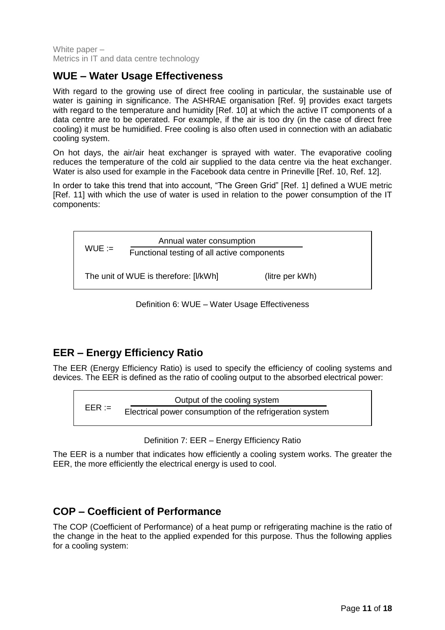#### <span id="page-10-0"></span>**WUE – Water Usage Effectiveness**

With regard to the growing use of direct free cooling in particular, the sustainable use of water is gaining in significance. The ASHRAE organisation [\[Ref.](#page-14-9) 9] provides exact targets with regard to the temperature and humidity [\[Ref.](#page-14-10) 10] at which the active IT components of a data centre are to be operated. For example, if the air is too dry (in the case of direct free cooling) it must be humidified. Free cooling is also often used in connection with an adiabatic cooling system.

On hot days, the air/air heat exchanger is sprayed with water. The evaporative cooling reduces the temperature of the cold air supplied to the data centre via the heat exchanger. Water is also used for example in the Facebook data centre in Prineville [\[Ref.](#page-14-10) 10, [Ref.](#page-14-11) 12].

In order to take this trend that into account, "The Green Grid" [\[Ref.](#page-14-1) 1] defined a WUE metric [\[Ref.](#page-14-12) 11] with which the use of water is used in relation to the power consumption of the IT components:

 $WUE :=$ The unit of WUE is therefore: [I/kWh] (litre per kWh) Annual water consumption Functional testing of all active components

Definition 6: WUE – Water Usage Effectiveness

#### <span id="page-10-3"></span><span id="page-10-1"></span>**EER – Energy Efficiency Ratio**

The EER (Energy Efficiency Ratio) is used to specify the efficiency of cooling systems and devices. The EER is defined as the ratio of cooling output to the absorbed electrical power:

 $EER :=$ Output of the cooling system Electrical power consumption of the refrigeration system

Definition 7: EER – Energy Efficiency Ratio

<span id="page-10-4"></span>The EER is a number that indicates how efficiently a cooling system works. The greater the EER, the more efficiently the electrical energy is used to cool.

#### <span id="page-10-2"></span>**COP – Coefficient of Performance**

The COP (Coefficient of Performance) of a heat pump or refrigerating machine is the ratio of the change in the heat to the applied expended for this purpose. Thus the following applies for a cooling system: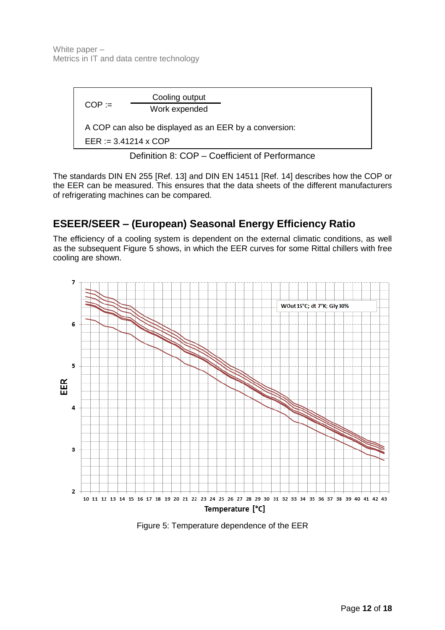

Definition 8: COP – Coefficient of Performance

<span id="page-11-1"></span>The standards DIN EN 255 [\[Ref.](#page-15-0) 13] and DIN EN 14511 [\[Ref.](#page-15-1) 14] describes how the COP or the EER can be measured. This ensures that the data sheets of the different manufacturers of refrigerating machines can be compared.

#### <span id="page-11-0"></span>**ESEER/SEER – (European) Seasonal Energy Efficiency Ratio**

The efficiency of a cooling system is dependent on the external climatic conditions, as well as the subsequent [Figure 5](#page-11-2) shows, in which the EER curves for some Rittal chillers with free cooling are shown.



<span id="page-11-2"></span>Figure 5: Temperature dependence of the EER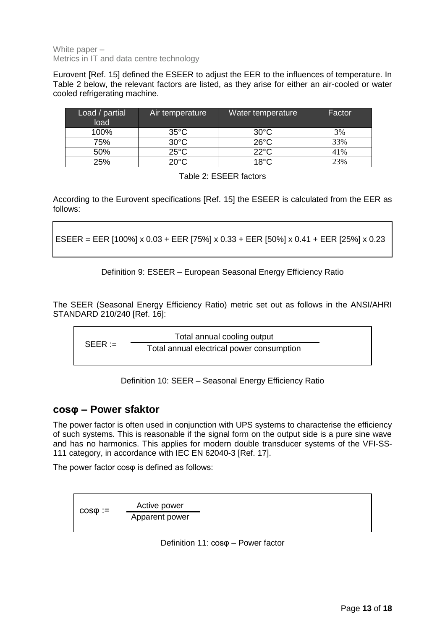Eurovent [\[Ref.](#page-15-2) 15] defined the ESEER to adjust the EER to the influences of temperature. In [Table 2](#page-12-4) below, the relevant factors are listed, as they arise for either an air-cooled or water cooled refrigerating machine.

| Load / partial<br>load | Air temperature | Water temperature | Factor |
|------------------------|-----------------|-------------------|--------|
| 100%                   | $35^{\circ}$ C  | $30^{\circ}$ C    | 3%     |
| 75%                    | $30^{\circ}$ C  | $26^{\circ}$ C    | 33%    |
| 50%                    | $25^{\circ}$ C  | $22^{\circ}$ C    | 41%    |
| 25%                    | $20^{\circ}$ C  | $18^{\circ}$ C    | 23%    |

Table 2: ESEER factors

<span id="page-12-4"></span>According to the Eurovent specifications [\[Ref.](#page-15-2) 15] the ESEER is calculated from the EER as follows:

<span id="page-12-1"></span>ESEER = EER [100%] x 0.03 + EER [75%] x 0.33 + EER [50%] x 0.41 + EER [25%] x 0.23

Definition 9: ESEER – European Seasonal Energy Efficiency Ratio

The SEER (Seasonal Energy Efficiency Ratio) metric set out as follows in the ANSI/AHRI STANDARD 210/240 [\[Ref.](#page-15-3) 16]:

 $SEER :=$ Total annual cooling output Total annual electrical power consumption

Definition 10: SEER – Seasonal Energy Efficiency Ratio

#### <span id="page-12-2"></span><span id="page-12-0"></span>**cosφ – Power sfaktor**

The power factor is often used in conjunction with UPS systems to characterise the efficiency of such systems. This is reasonable if the signal form on the output side is a pure sine wave and has no harmonics. This applies for modern double transducer systems of the VFI-SS-111 category, in accordance with IEC EN 62040-3 [\[Ref.](#page-15-4) 17].

The power factor cosφ is defined as follows:

<span id="page-12-3"></span>
$$
\csc \varphi := \frac{\text{Active power}}{\text{Apparent power}}
$$

Definition 11: cosφ – Power factor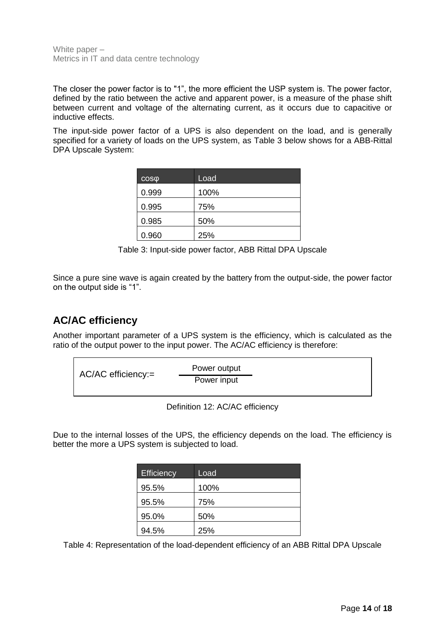The closer the power factor is to "1", the more efficient the USP system is. The power factor, defined by the ratio between the active and apparent power, is a measure of the phase shift between current and voltage of the alternating current, as it occurs due to capacitive or inductive effects.

The input-side power factor of a UPS is also dependent on the load, and is generally specified for a variety of loads on the UPS system, as [Table 3](#page-13-2) below shows for a ABB-Rittal DPA Upscale System:

| $\cos\varphi$ | Load |
|---------------|------|
| 0.999         | 100% |
| 0.995         | 75%  |
| 0.985         | 50%  |
| 0.960         | 25%  |

Table 3: Input-side power factor, ABB Rittal DPA Upscale

<span id="page-13-2"></span>Since a pure sine wave is again created by the battery from the output-side, the power factor on the output side is "1".

#### <span id="page-13-0"></span>**AC/AC efficiency**

Another important parameter of a UPS system is the efficiency, which is calculated as the ratio of the output power to the input power. The AC/AC efficiency is therefore:



Definition 12: AC/AC efficiency

<span id="page-13-1"></span>Due to the internal losses of the UPS, the efficiency depends on the load. The efficiency is better the more a UPS system is subjected to load.

| Efficiency | Load |
|------------|------|
| 95.5%      | 100% |
| 95.5%      | 75%  |
| 95.0%      | 50%  |
| 94.5%      | 25%  |

<span id="page-13-3"></span>Table 4: Representation of the load-dependent efficiency of an ABB Rittal DPA Upscale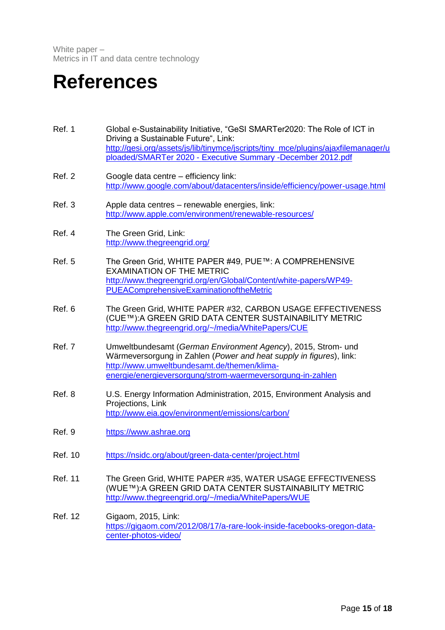### <span id="page-14-0"></span>**References**

- <span id="page-14-1"></span>Ref. 1 Global e-Sustainability Initiative, "GeSI SMARTer2020: The Role of ICT in Driving a Sustainable Future", Link: [http://gesi.org/assets/js/lib/tinymce/jscripts/tiny\\_mce/plugins/ajaxfilemanager/u](http://gesi.org/assets/js/lib/tinymce/jscripts/tiny_mce/plugins/ajaxfilemanager/uploaded/SMARTer%202020%20-%20Executive%20Summary%20-December%202012.pdf) ploaded/SMARTer 2020 - [Executive Summary -December 2012.pdf](http://gesi.org/assets/js/lib/tinymce/jscripts/tiny_mce/plugins/ajaxfilemanager/uploaded/SMARTer%202020%20-%20Executive%20Summary%20-December%202012.pdf)
- <span id="page-14-2"></span>Ref. 2 Google data centre – efficiency link: <http://www.google.com/about/datacenters/inside/efficiency/power-usage.html>
- <span id="page-14-3"></span>Ref. 3 Apple data centres – renewable energies, link: <http://www.apple.com/environment/renewable-resources/>
- <span id="page-14-4"></span>Ref. 4 The Green Grid, Link: <http://www.thegreengrid.org/>
- <span id="page-14-5"></span>Ref. 5 The Green Grid, WHITE PAPER #49, PUE™: A COMPREHENSIVE EXAMINATION OF THE METRIC [http://www.thegreengrid.org/en/Global/Content/white-papers/WP49-](http://www.thegreengrid.org/en/Global/Content/white-papers/WP49-PUEAComprehensiveExaminationoftheMetric) [PUEAComprehensiveExaminationoftheMetric](http://www.thegreengrid.org/en/Global/Content/white-papers/WP49-PUEAComprehensiveExaminationoftheMetric)
- <span id="page-14-6"></span>Ref. 6 The Green Grid, WHITE PAPER #32, CARBON USAGE EFFECTIVENESS (CUE™):A GREEN GRID DATA CENTER SUSTAINABILITY METRIC <http://www.thegreengrid.org/~/media/WhitePapers/CUE>
- <span id="page-14-7"></span>Ref. 7 Umweltbundesamt (*German Environment Agency*), 2015, Strom- und Wärmeversorgung in Zahlen (*Power and heat supply in figures*), link: [http://www.umweltbundesamt.de/themen/klima](http://www.umweltbundesamt.de/themen/klima-energie/energieversorgung/strom-waermeversorgung-in-zahlen)[energie/energieversorgung/strom-waermeversorgung-in-zahlen](http://www.umweltbundesamt.de/themen/klima-energie/energieversorgung/strom-waermeversorgung-in-zahlen)
- <span id="page-14-8"></span>Ref. 8 U.S. Energy Information Administration, 2015, Environment Analysis and Projections, Link <http://www.eia.gov/environment/emissions/carbon/>
- <span id="page-14-9"></span>Ref. 9 [https://www.ashrae.org](https://www.ashrae.org/)
- <span id="page-14-10"></span>Ref. 10 <https://nsidc.org/about/green-data-center/project.html>
- <span id="page-14-12"></span>Ref. 11 The Green Grid, WHITE PAPER #35, WATER USAGE EFFECTIVENESS (WUE™):A GREEN GRID DATA CENTER SUSTAINABILITY METRIC <http://www.thegreengrid.org/~/media/WhitePapers/WUE>
- <span id="page-14-11"></span>Ref. 12 [Gigaom,](https://gigaom.com/2012/08/17/a-rare-look-inside-facebooks-oregon-data-center-photos-video/) 2015, Link: [https://gigaom.com/2012/08/17/a-rare-look-inside-facebooks-oregon-data](https://gigaom.com/2012/08/17/a-rare-look-inside-facebooks-oregon-data-center-photos-video/)[center-photos-video/](https://gigaom.com/2012/08/17/a-rare-look-inside-facebooks-oregon-data-center-photos-video/)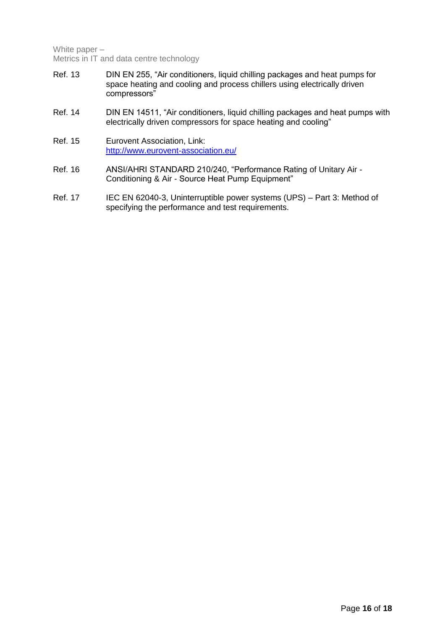- <span id="page-15-0"></span>Ref. 13 DIN EN 255, "Air conditioners, liquid chilling packages and heat pumps for space heating and cooling and process chillers using electrically driven compressors"
- <span id="page-15-1"></span>Ref. 14 DIN EN 14511, "Air conditioners, liquid chilling packages and heat pumps with electrically driven compressors for space heating and cooling"
- <span id="page-15-2"></span>Ref. 15 Eurovent Association, Link: <http://www.eurovent-association.eu/>
- <span id="page-15-3"></span>Ref. 16 ANSI/AHRI STANDARD 210/240, "Performance Rating of Unitary Air -Conditioning & Air - Source Heat Pump Equipment"
- <span id="page-15-4"></span>Ref. 17 IEC EN 62040-3, Uninterruptible power systems (UPS) – Part 3: Method of specifying the performance and test requirements.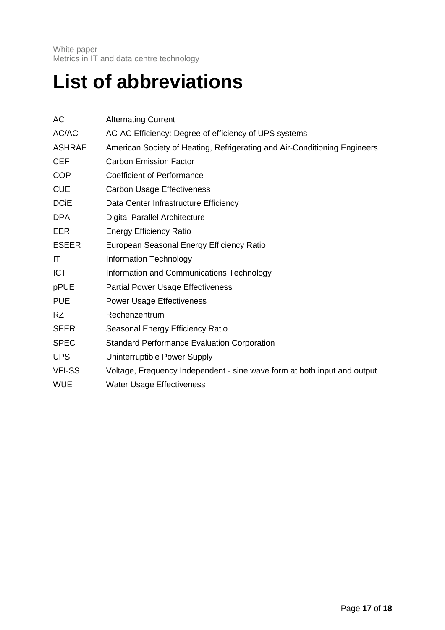### <span id="page-16-0"></span>**List of abbreviations**

| АC            | <b>Alternating Current</b>                                                |
|---------------|---------------------------------------------------------------------------|
| AC/AC         | AC-AC Efficiency: Degree of efficiency of UPS systems                     |
| <b>ASHRAE</b> | American Society of Heating, Refrigerating and Air-Conditioning Engineers |
| <b>CEF</b>    | <b>Carbon Emission Factor</b>                                             |
| <b>COP</b>    | <b>Coefficient of Performance</b>                                         |
| <b>CUE</b>    | <b>Carbon Usage Effectiveness</b>                                         |
| <b>DCiE</b>   | Data Center Infrastructure Efficiency                                     |
| <b>DPA</b>    | <b>Digital Parallel Architecture</b>                                      |
| <b>EER</b>    | <b>Energy Efficiency Ratio</b>                                            |
| <b>ESEER</b>  | European Seasonal Energy Efficiency Ratio                                 |
| IT            | Information Technology                                                    |
| <b>ICT</b>    | Information and Communications Technology                                 |
| pPUE          | <b>Partial Power Usage Effectiveness</b>                                  |
| <b>PUE</b>    | <b>Power Usage Effectiveness</b>                                          |
| <b>RZ</b>     | Rechenzentrum                                                             |
| <b>SEER</b>   | Seasonal Energy Efficiency Ratio                                          |
| <b>SPEC</b>   | <b>Standard Performance Evaluation Corporation</b>                        |
| <b>UPS</b>    | Uninterruptible Power Supply                                              |
| <b>VFI-SS</b> | Voltage, Frequency Independent - sine wave form at both input and output  |
| <b>WUE</b>    | <b>Water Usage Effectiveness</b>                                          |